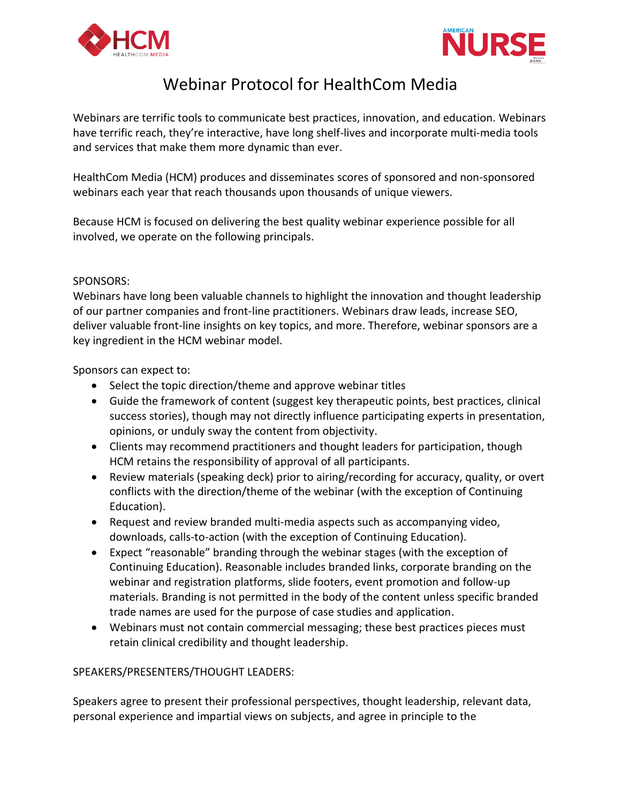



## Webinar Protocol for HealthCom Media

Webinars are terrific tools to communicate best practices, innovation, and education. Webinars have terrific reach, they're interactive, have long shelf-lives and incorporate multi-media tools and services that make them more dynamic than ever.

HealthCom Media (HCM) produces and disseminates scores of sponsored and non-sponsored webinars each year that reach thousands upon thousands of unique viewers.

Because HCM is focused on delivering the best quality webinar experience possible for all involved, we operate on the following principals.

## SPONSORS:

Webinars have long been valuable channels to highlight the innovation and thought leadership of our partner companies and front-line practitioners. Webinars draw leads, increase SEO, deliver valuable front-line insights on key topics, and more. Therefore, webinar sponsors are a key ingredient in the HCM webinar model.

Sponsors can expect to:

- Select the topic direction/theme and approve webinar titles
- Guide the framework of content (suggest key therapeutic points, best practices, clinical success stories), though may not directly influence participating experts in presentation, opinions, or unduly sway the content from objectivity.
- Clients may recommend practitioners and thought leaders for participation, though HCM retains the responsibility of approval of all participants.
- Review materials (speaking deck) prior to airing/recording for accuracy, quality, or overt conflicts with the direction/theme of the webinar (with the exception of Continuing Education).
- Request and review branded multi-media aspects such as accompanying video, downloads, calls-to-action (with the exception of Continuing Education).
- Expect "reasonable" branding through the webinar stages (with the exception of Continuing Education). Reasonable includes branded links, corporate branding on the webinar and registration platforms, slide footers, event promotion and follow-up materials. Branding is not permitted in the body of the content unless specific branded trade names are used for the purpose of case studies and application.
- Webinars must not contain commercial messaging; these best practices pieces must retain clinical credibility and thought leadership.

## SPEAKERS/PRESENTERS/THOUGHT LEADERS:

Speakers agree to present their professional perspectives, thought leadership, relevant data, personal experience and impartial views on subjects, and agree in principle to the